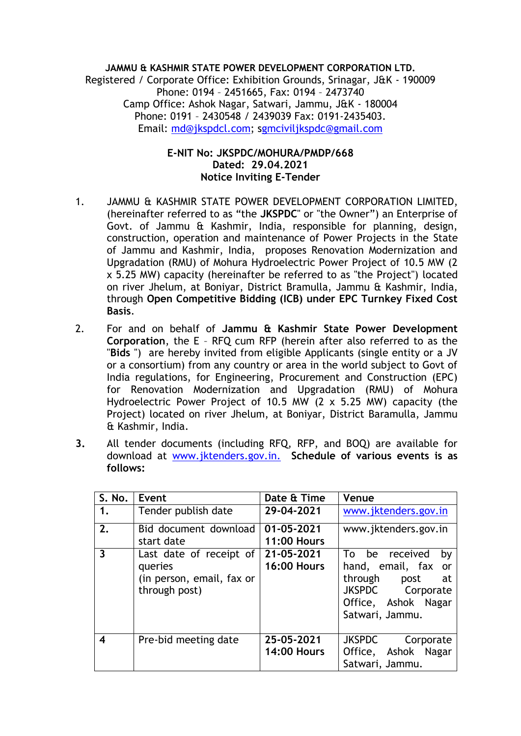**JAMMU & KASHMIR STATE POWER DEVELOPMENT CORPORATION LTD.** Registered / Corporate Office: Exhibition Grounds, Srinagar, J&K - 190009 Phone: 0194 – 2451665, Fax: 0194 – 2473740 Camp Office: Ashok Nagar, Satwari, Jammu, J&K - 180004 Phone: 0191 – 2430548 / 2439039 Fax: 0191-2435403. Email: [md@jkspdcl.com;](mailto:md@jkspdcl.com) [sgmciviljkspdc@gmail.com](mailto:gmciviljkspdc@gmail.com)

## **E-NIT No: JKSPDC/MOHURA/PMDP/668 Dated: 29.04.2021 Notice Inviting E-Tender**

- 1. JAMMU & KASHMIR STATE POWER DEVELOPMENT CORPORATION LIMITED, (hereinafter referred to as "the **JKSPDC**" or "the Owner") an Enterprise of Govt. of Jammu & Kashmir, India, responsible for planning, design, construction, operation and maintenance of Power Projects in the State of Jammu and Kashmir, India, proposes Renovation Modernization and Upgradation (RMU) of Mohura Hydroelectric Power Project of 10.5 MW (2 x 5.25 MW) capacity (hereinafter be referred to as "the Project") located on river Jhelum, at Boniyar, District Bramulla, Jammu & Kashmir, India, through **Open Competitive Bidding (ICB) under EPC Turnkey Fixed Cost Basis**.
- 2. For and on behalf of **Jammu & Kashmir State Power Development Corporation**, the E – RFQ cum RFP (herein after also referred to as the "**Bids** ") are hereby invited from eligible Applicants (single entity or a JV or a consortium) from any country or area in the world subject to Govt of India regulations, for Engineering, Procurement and Construction (EPC) for Renovation Modernization and Upgradation (RMU) of Mohura Hydroelectric Power Project of 10.5 MW (2 x 5.25 MW) capacity (the Project) located on river Jhelum, at Boniyar, District Baramulla, Jammu & Kashmir, India.
- **3.** All tender documents (including RFQ, RFP, and BOQ) are available for download at www[.jktenders.gov.in.](http://jktenders.gov.in/) **Schedule of various events is as follows:**

| S. No.                  | Event                                                                            | Date & Time                      | Venue                                                                                                                                 |
|-------------------------|----------------------------------------------------------------------------------|----------------------------------|---------------------------------------------------------------------------------------------------------------------------------------|
| 1.                      | Tender publish date                                                              | 29-04-2021                       | www.jktenders.gov.in                                                                                                                  |
| 2.                      | Bid document download<br>start date                                              | 01-05-2021<br><b>11:00 Hours</b> | www.jktenders.gov.in                                                                                                                  |
| $\overline{\mathbf{3}}$ | Last date of receipt of<br>queries<br>(in person, email, fax or<br>through post) | 21-05-2021<br><b>16:00 Hours</b> | be received<br>To<br>by<br>hand, email, fax or<br>through<br>post<br>at<br>JKSPDC Corporate<br>Office, Ashok Nagar<br>Satwari, Jammu. |
| 4                       | Pre-bid meeting date                                                             | 25-05-2021<br><b>14:00 Hours</b> | <b>JKSPDC</b><br>Corporate<br>Ashok Nagar<br>Office,<br>Satwari, Jammu.                                                               |